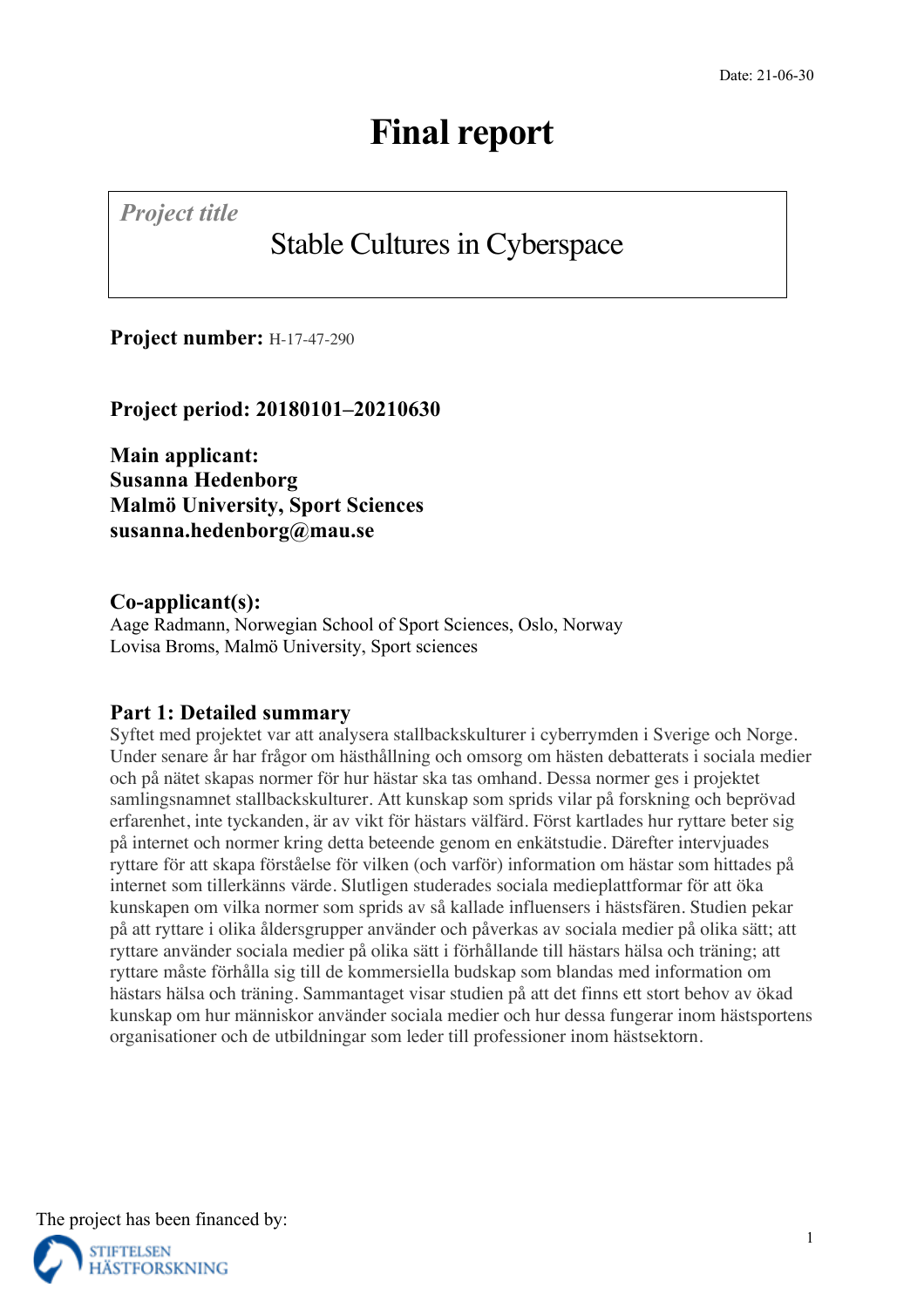*Project title*

# Stable Cultures in Cyberspace

**Project number:** H-17-47-290

**Project period: 20180101–20210630**

**Main applicant: Susanna Hedenborg Malmö University, Sport Sciences susanna.hedenborg@mau.se**

## **Co-applicant(s):**

Aage Radmann, Norwegian School of Sport Sciences, Oslo, Norway Lovisa Broms, Malmö University, Sport sciences

## **Part 1: Detailed summary**

Syftet med projektet var att analysera stallbackskulturer i cyberrymden i Sverige och Norge. Under senare år har frågor om hästhållning och omsorg om hästen debatterats i sociala medier och på nätet skapas normer för hur hästar ska tas omhand. Dessa normer ges i projektet samlingsnamnet stallbackskulturer. Att kunskap som sprids vilar på forskning och beprövad erfarenhet, inte tyckanden, är av vikt för hästars välfärd. Först kartlades hur ryttare beter sig på internet och normer kring detta beteende genom en enkätstudie. Därefter intervjuades ryttare för att skapa förståelse för vilken (och varför) information om hästar som hittades på internet som tillerkänns värde. Slutligen studerades sociala medieplattformar för att öka kunskapen om vilka normer som sprids av så kallade influensers i hästsfären. Studien pekar på att ryttare i olika åldersgrupper använder och påverkas av sociala medier på olika sätt; att ryttare använder sociala medier på olika sätt i förhållande till hästars hälsa och träning; att ryttare måste förhålla sig till de kommersiella budskap som blandas med information om hästars hälsa och träning. Sammantaget visar studien på att det finns ett stort behov av ökad kunskap om hur människor använder sociala medier och hur dessa fungerar inom hästsportens organisationer och de utbildningar som leder till professioner inom hästsektorn.

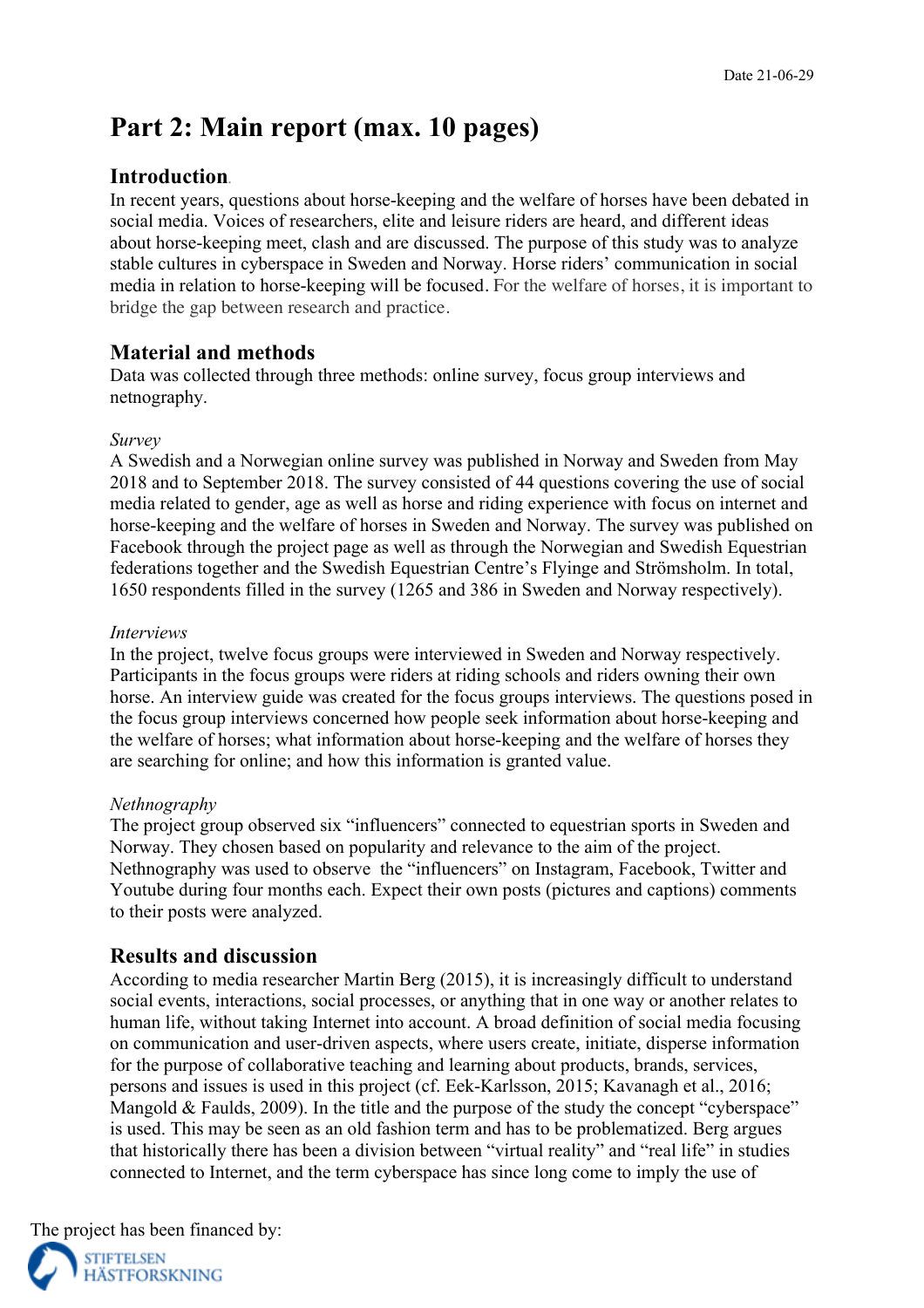## **Part 2: Main report (max. 10 pages)**

## **Introduction***.*

In recent years, questions about horse-keeping and the welfare of horses have been debated in social media. Voices of researchers, elite and leisure riders are heard, and different ideas about horse-keeping meet, clash and are discussed. The purpose of this study was to analyze stable cultures in cyberspace in Sweden and Norway. Horse riders' communication in social media in relation to horse-keeping will be focused. For the welfare of horses, it is important to bridge the gap between research and practice.

## **Material and methods**

Data was collected through three methods: online survey, focus group interviews and netnography.

### *Survey*

A Swedish and a Norwegian online survey was published in Norway and Sweden from May 2018 and to September 2018. The survey consisted of 44 questions covering the use of social media related to gender, age as well as horse and riding experience with focus on internet and horse-keeping and the welfare of horses in Sweden and Norway. The survey was published on Facebook through the project page as well as through the Norwegian and Swedish Equestrian federations together and the Swedish Equestrian Centre's Flyinge and Strömsholm. In total, 1650 respondents filled in the survey (1265 and 386 in Sweden and Norway respectively).

### *Interviews*

In the project, twelve focus groups were interviewed in Sweden and Norway respectively. Participants in the focus groups were riders at riding schools and riders owning their own horse. An interview guide was created for the focus groups interviews. The questions posed in the focus group interviews concerned how people seek information about horse-keeping and the welfare of horses; what information about horse-keeping and the welfare of horses they are searching for online; and how this information is granted value.

### *Nethnography*

The project group observed six "influencers" connected to equestrian sports in Sweden and Norway. They chosen based on popularity and relevance to the aim of the project. Nethnography was used to observe the "influencers" on Instagram, Facebook, Twitter and Youtube during four months each. Expect their own posts (pictures and captions) comments to their posts were analyzed.

## **Results and discussion**

According to media researcher Martin Berg (2015), it is increasingly difficult to understand social events, interactions, social processes, or anything that in one way or another relates to human life, without taking Internet into account. A broad definition of social media focusing on communication and user-driven aspects, where users create, initiate, disperse information for the purpose of collaborative teaching and learning about products, brands, services, persons and issues is used in this project (cf. Eek-Karlsson, 2015; Kavanagh et al., 2016; Mangold & Faulds, 2009). In the title and the purpose of the study the concept "cyberspace" is used. This may be seen as an old fashion term and has to be problematized. Berg argues that historically there has been a division between "virtual reality" and "real life" in studies connected to Internet, and the term cyberspace has since long come to imply the use of

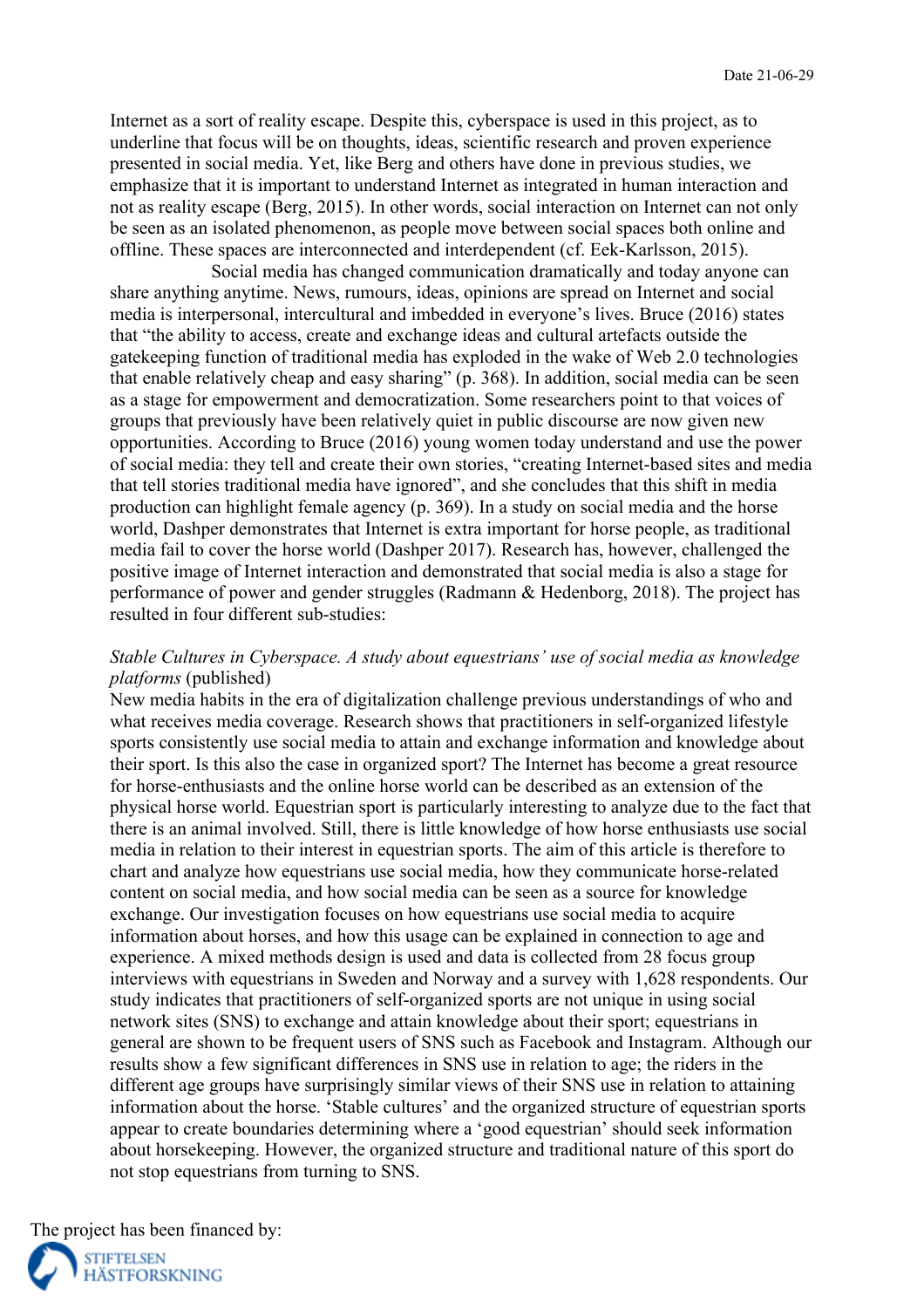Internet as a sort of reality escape. Despite this, cyberspace is used in this project, as to underline that focus will be on thoughts, ideas, scientific research and proven experience presented in social media. Yet, like Berg and others have done in previous studies, we emphasize that it is important to understand Internet as integrated in human interaction and not as reality escape (Berg, 2015). In other words, social interaction on Internet can not only be seen as an isolated phenomenon, as people move between social spaces both online and offline. These spaces are interconnected and interdependent (cf. Eek-Karlsson, 2015).

Social media has changed communication dramatically and today anyone can share anything anytime. News, rumours, ideas, opinions are spread on Internet and social media is interpersonal, intercultural and imbedded in everyone's lives. Bruce (2016) states that "the ability to access, create and exchange ideas and cultural artefacts outside the gatekeeping function of traditional media has exploded in the wake of Web 2.0 technologies that enable relatively cheap and easy sharing" (p. 368). In addition, social media can be seen as a stage for empowerment and democratization. Some researchers point to that voices of groups that previously have been relatively quiet in public discourse are now given new opportunities. According to Bruce (2016) young women today understand and use the power of social media: they tell and create their own stories, "creating Internet-based sites and media that tell stories traditional media have ignored", and she concludes that this shift in media production can highlight female agency (p. 369). In a study on social media and the horse world, Dashper demonstrates that Internet is extra important for horse people, as traditional media fail to cover the horse world (Dashper 2017). Research has, however, challenged the positive image of Internet interaction and demonstrated that social media is also a stage for performance of power and gender struggles (Radmann & Hedenborg, 2018). The project has resulted in four different sub-studies:

## *Stable Cultures in Cyberspace. A study about equestrians' use of social media as knowledge platforms* (published)

New media habits in the era of digitalization challenge previous understandings of who and what receives media coverage. Research shows that practitioners in self-organized lifestyle sports consistently use social media to attain and exchange information and knowledge about their sport. Is this also the case in organized sport? The Internet has become a great resource for horse-enthusiasts and the online horse world can be described as an extension of the physical horse world. Equestrian sport is particularly interesting to analyze due to the fact that there is an animal involved. Still, there is little knowledge of how horse enthusiasts use social media in relation to their interest in equestrian sports. The aim of this article is therefore to chart and analyze how equestrians use social media, how they communicate horse-related content on social media, and how social media can be seen as a source for knowledge exchange. Our investigation focuses on how equestrians use social media to acquire information about horses, and how this usage can be explained in connection to age and experience. A mixed methods design is used and data is collected from 28 focus group interviews with equestrians in Sweden and Norway and a survey with 1,628 respondents. Our study indicates that practitioners of self-organized sports are not unique in using social network sites (SNS) to exchange and attain knowledge about their sport; equestrians in general are shown to be frequent users of SNS such as Facebook and Instagram. Although our results show a few significant differences in SNS use in relation to age; the riders in the different age groups have surprisingly similar views of their SNS use in relation to attaining information about the horse. 'Stable cultures' and the organized structure of equestrian sports appear to create boundaries determining where a 'good equestrian' should seek information about horsekeeping. However, the organized structure and traditional nature of this sport do not stop equestrians from turning to SNS.

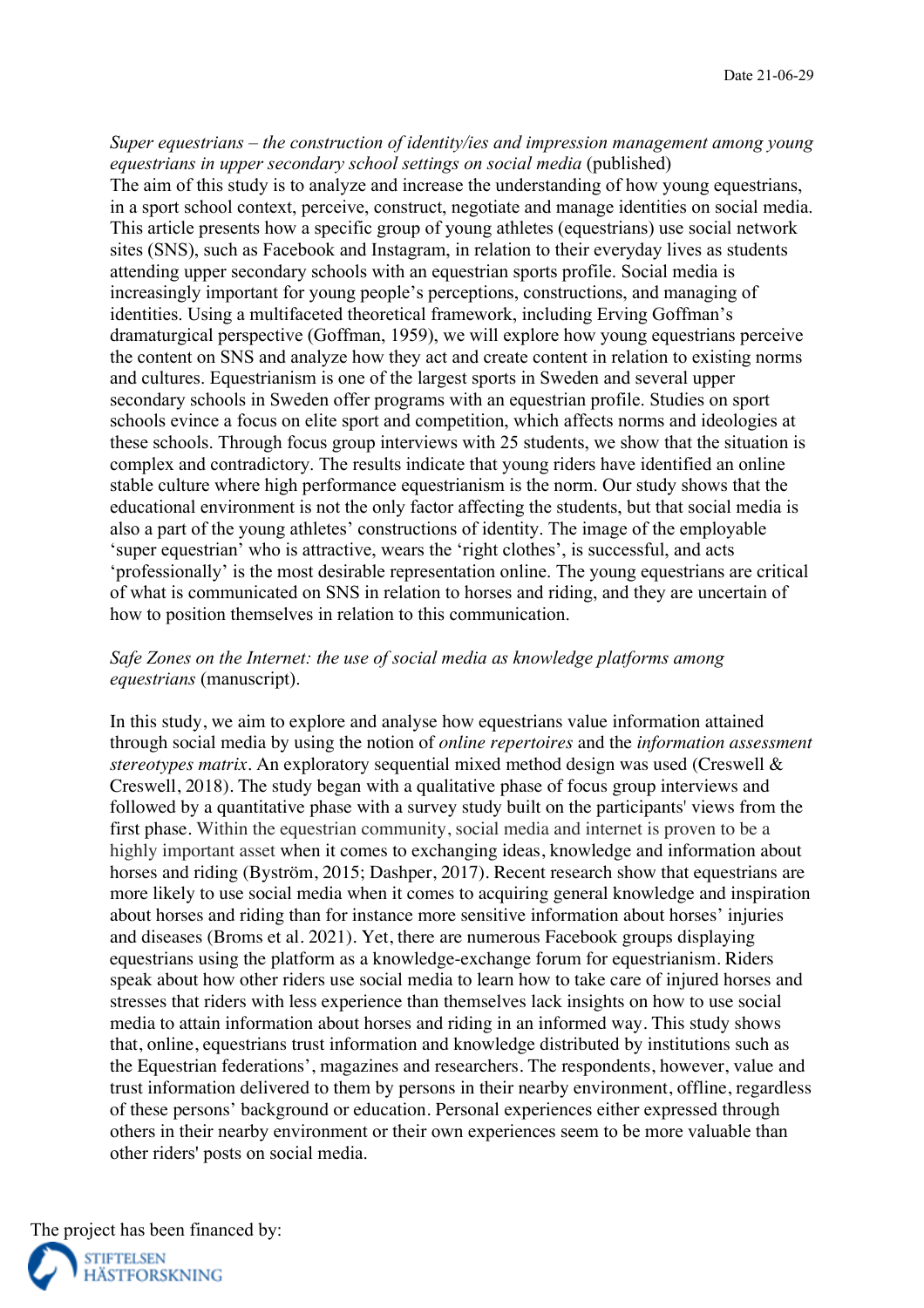### *Super equestrians – the construction of identity/ies and impression management among young equestrians in upper secondary school settings on social media* (published)

The aim of this study is to analyze and increase the understanding of how young equestrians, in a sport school context, perceive, construct, negotiate and manage identities on social media. This article presents how a specific group of young athletes (equestrians) use social network sites (SNS), such as Facebook and Instagram, in relation to their everyday lives as students attending upper secondary schools with an equestrian sports profile. Social media is increasingly important for young people's perceptions, constructions, and managing of identities. Using a multifaceted theoretical framework, including Erving Goffman's dramaturgical perspective (Goffman, 1959), we will explore how young equestrians perceive the content on SNS and analyze how they act and create content in relation to existing norms and cultures. Equestrianism is one of the largest sports in Sweden and several upper secondary schools in Sweden offer programs with an equestrian profile. Studies on sport schools evince a focus on elite sport and competition, which affects norms and ideologies at these schools. Through focus group interviews with 25 students, we show that the situation is complex and contradictory. The results indicate that young riders have identified an online stable culture where high performance equestrianism is the norm. Our study shows that the educational environment is not the only factor affecting the students, but that social media is also a part of the young athletes' constructions of identity. The image of the employable 'super equestrian' who is attractive, wears the 'right clothes', is successful, and acts 'professionally' is the most desirable representation online. The young equestrians are critical of what is communicated on SNS in relation to horses and riding, and they are uncertain of how to position themselves in relation to this communication.

## *Safe Zones on the Internet: the use of social media as knowledge platforms among equestrians* (manuscript).

In this study, we aim to explore and analyse how equestrians value information attained through social media by using the notion of *online repertoires* and the *information assessment stereotypes matrix.* An exploratory sequential mixed method design was used (Creswell & Creswell, 2018). The study began with a qualitative phase of focus group interviews and followed by a quantitative phase with a survey study built on the participants' views from the first phase. Within the equestrian community, social media and internet is proven to be a highly important asset when it comes to exchanging ideas, knowledge and information about horses and riding (Byström, 2015; Dashper, 2017). Recent research show that equestrians are more likely to use social media when it comes to acquiring general knowledge and inspiration about horses and riding than for instance more sensitive information about horses' injuries and diseases (Broms et al. 2021). Yet, there are numerous Facebook groups displaying equestrians using the platform as a knowledge-exchange forum for equestrianism. Riders speak about how other riders use social media to learn how to take care of injured horses and stresses that riders with less experience than themselves lack insights on how to use social media to attain information about horses and riding in an informed way. This study shows that, online, equestrians trust information and knowledge distributed by institutions such as the Equestrian federations', magazines and researchers. The respondents, however, value and trust information delivered to them by persons in their nearby environment, offline, regardless of these persons' background or education. Personal experiences either expressed through others in their nearby environment or their own experiences seem to be more valuable than other riders' posts on social media.



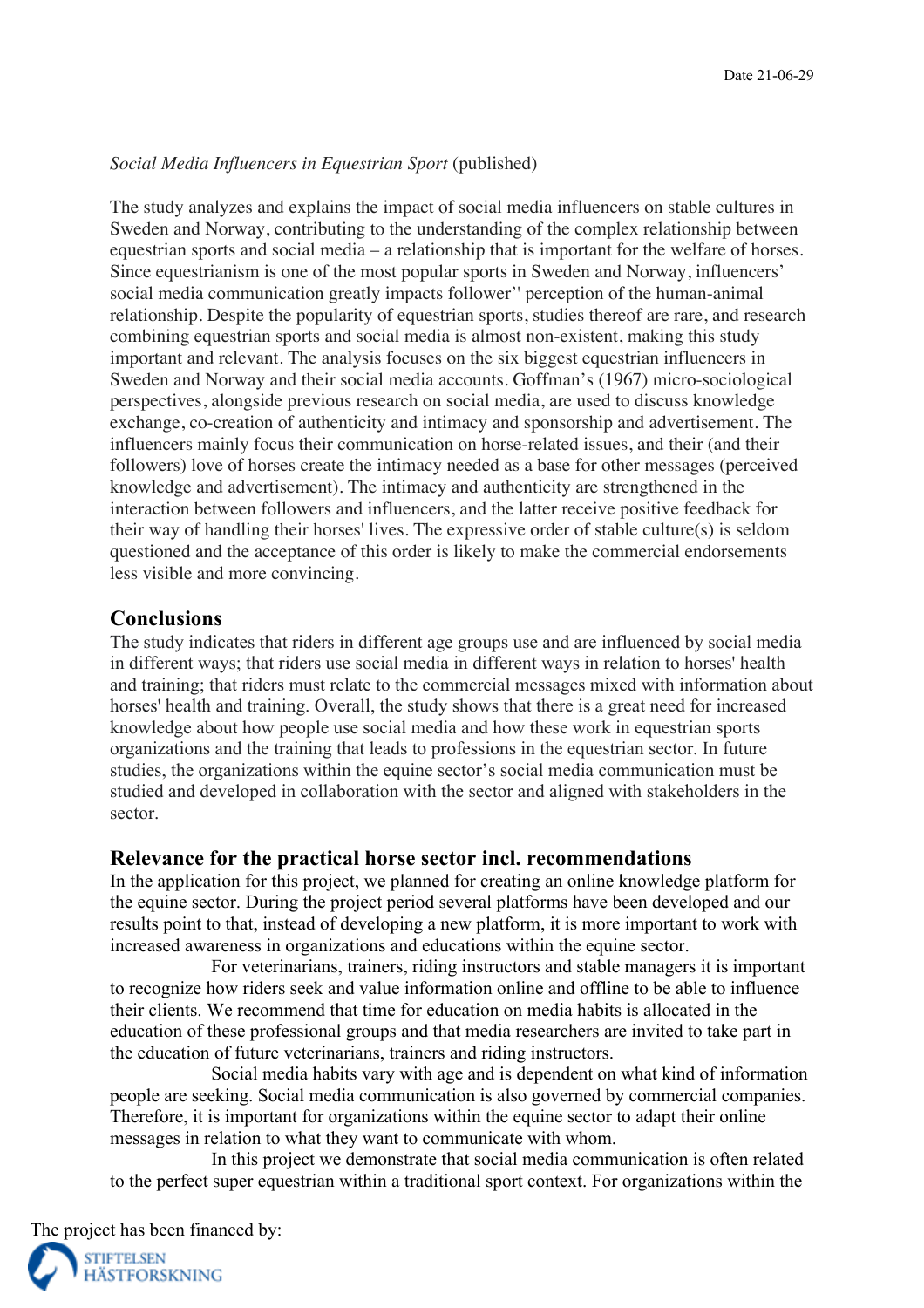#### *Social Media Influencers in Equestrian Sport* (published)

The study analyzes and explains the impact of social media influencers on stable cultures in Sweden and Norway, contributing to the understanding of the complex relationship between equestrian sports and social media – a relationship that is important for the welfare of horses. Since equestrianism is one of the most popular sports in Sweden and Norway, influencers' social media communication greatly impacts follower'' perception of the human-animal relationship. Despite the popularity of equestrian sports, studies thereof are rare, and research combining equestrian sports and social media is almost non-existent, making this study important and relevant. The analysis focuses on the six biggest equestrian influencers in Sweden and Norway and their social media accounts. Goffman's (1967) micro-sociological perspectives, alongside previous research on social media, are used to discuss knowledge exchange, co-creation of authenticity and intimacy and sponsorship and advertisement. The influencers mainly focus their communication on horse-related issues, and their (and their followers) love of horses create the intimacy needed as a base for other messages (perceived knowledge and advertisement). The intimacy and authenticity are strengthened in the interaction between followers and influencers, and the latter receive positive feedback for their way of handling their horses' lives. The expressive order of stable culture(s) is seldom questioned and the acceptance of this order is likely to make the commercial endorsements less visible and more convincing.

### **Conclusions**

The study indicates that riders in different age groups use and are influenced by social media in different ways; that riders use social media in different ways in relation to horses' health and training; that riders must relate to the commercial messages mixed with information about horses' health and training. Overall, the study shows that there is a great need for increased knowledge about how people use social media and how these work in equestrian sports organizations and the training that leads to professions in the equestrian sector. In future studies, the organizations within the equine sector's social media communication must be studied and developed in collaboration with the sector and aligned with stakeholders in the sector.

### **Relevance for the practical horse sector incl. recommendations**

In the application for this project, we planned for creating an online knowledge platform for the equine sector. During the project period several platforms have been developed and our results point to that, instead of developing a new platform, it is more important to work with increased awareness in organizations and educations within the equine sector.

For veterinarians, trainers, riding instructors and stable managers it is important to recognize how riders seek and value information online and offline to be able to influence their clients. We recommend that time for education on media habits is allocated in the education of these professional groups and that media researchers are invited to take part in the education of future veterinarians, trainers and riding instructors.

Social media habits vary with age and is dependent on what kind of information people are seeking. Social media communication is also governed by commercial companies. Therefore, it is important for organizations within the equine sector to adapt their online messages in relation to what they want to communicate with whom.

In this project we demonstrate that social media communication is often related to the perfect super equestrian within a traditional sport context. For organizations within the

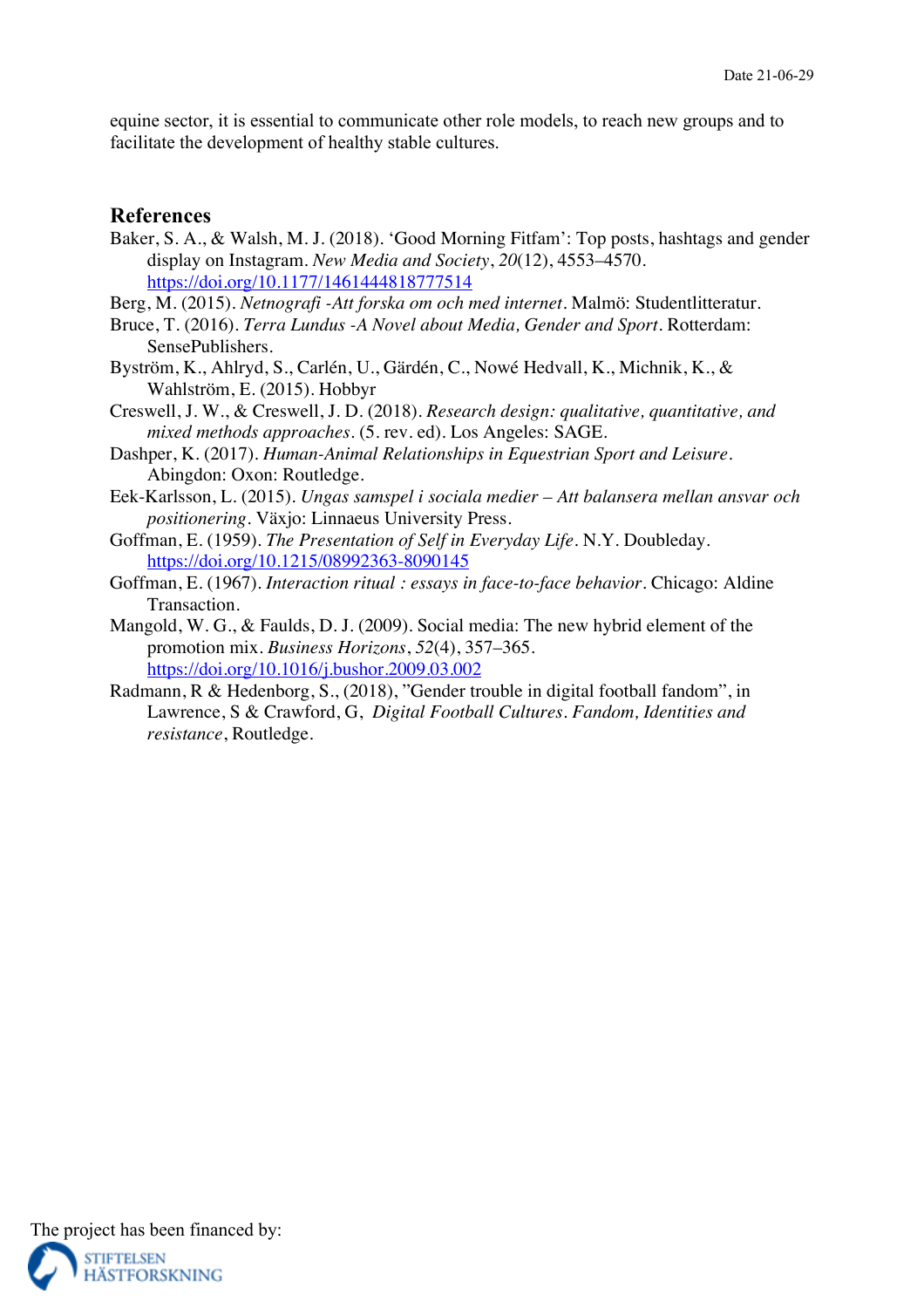equine sector, it is essential to communicate other role models, to reach new groups and to facilitate the development of healthy stable cultures.

## **References**

- Baker, S. A., & Walsh, M. J. (2018). 'Good Morning Fitfam': Top posts, hashtags and gender display on Instagram. *New Media and Society*, *20*(12), 4553–4570. https://doi.org/10.1177/1461444818777514
- Berg, M. (2015). *Netnografi -Att forska om och med internet*. Malmö: Studentlitteratur.
- Bruce, T. (2016). *Terra Lundus -A Novel about Media, Gender and Sport*. Rotterdam: SensePublishers.
- Byström, K., Ahlryd, S., Carlén, U., Gärdén, C., Nowé Hedvall, K., Michnik, K., & Wahlström, E. (2015). Hobbyr
- Creswell, J. W., & Creswell, J. D. (2018). *Research design: qualitative, quantitative, and mixed methods approaches.* (5. rev. ed). Los Angeles: SAGE.
- Dashper, K. (2017). *Human-Animal Relationships in Equestrian Sport and Leisure*. Abingdon: Oxon: Routledge.
- Eek-Karlsson, L. (2015). *Ungas samspel i sociala medier – Att balansera mellan ansvar och positionering*. Växjo: Linnaeus University Press.
- Goffman, E. (1959). *The Presentation of Self in Everyday Life*. N.Y. Doubleday. https://doi.org/10.1215/08992363-8090145
- Goffman, E. (1967). *Interaction ritual : essays in face-to-face behavior.* Chicago: Aldine Transaction.
- Mangold, W. G., & Faulds, D. J. (2009). Social media: The new hybrid element of the promotion mix. *Business Horizons*, *52*(4), 357–365. https://doi.org/10.1016/j.bushor.2009.03.002
- Radmann, R & Hedenborg, S., (2018), "Gender trouble in digital football fandom", in Lawrence, S & Crawford, G, *Digital Football Cultures. Fandom, Identities and resistance*, Routledge.

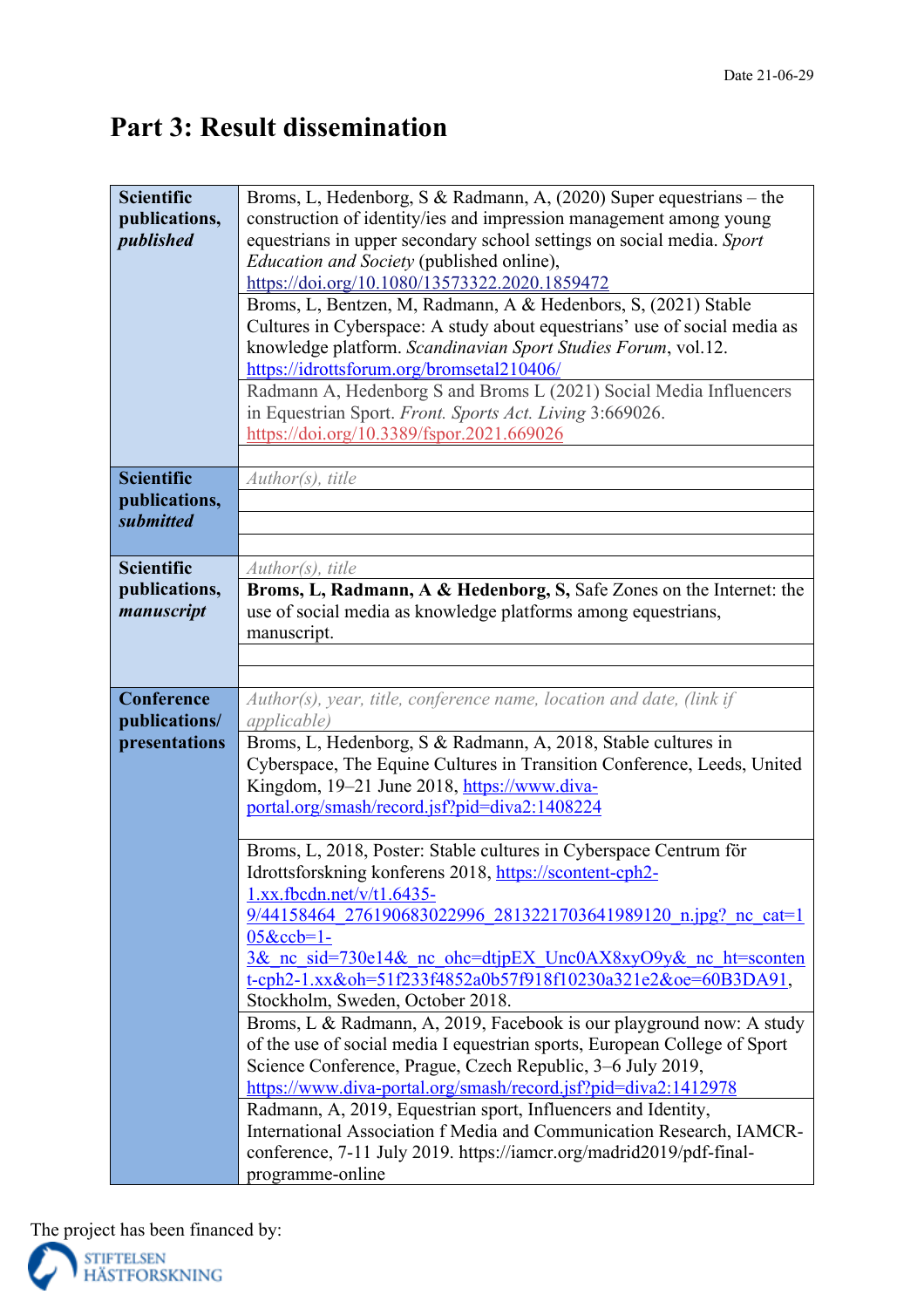# **Part 3: Result dissemination**

| <b>Scientific</b> | Broms, L, Hedenborg, S & Radmann, A, (2020) Super equestrians – the       |
|-------------------|---------------------------------------------------------------------------|
| publications,     | construction of identity/ies and impression management among young        |
| published         | equestrians in upper secondary school settings on social media. Sport     |
|                   | <i>Education and Society</i> (published online),                          |
|                   |                                                                           |
|                   | https://doi.org/10.1080/13573322.2020.1859472                             |
|                   | Broms, L, Bentzen, M, Radmann, A & Hedenbors, S, (2021) Stable            |
|                   | Cultures in Cyberspace: A study about equestrians' use of social media as |
|                   | knowledge platform. Scandinavian Sport Studies Forum, vol.12.             |
|                   | https://idrottsforum.org/bromsetal210406/                                 |
|                   | Radmann A, Hedenborg S and Broms L (2021) Social Media Influencers        |
|                   | in Equestrian Sport. Front. Sports Act. Living 3:669026.                  |
|                   | https://doi.org/10.3389/fspor.2021.669026                                 |
|                   |                                                                           |
| <b>Scientific</b> | Author(s), title                                                          |
| publications,     |                                                                           |
| submitted         |                                                                           |
|                   |                                                                           |
| <b>Scientific</b> | $Author(s)$ , title                                                       |
| publications,     | Broms, L, Radmann, A & Hedenborg, S, Safe Zones on the Internet: the      |
| manuscript        | use of social media as knowledge platforms among equestrians,             |
|                   | manuscript.                                                               |
|                   |                                                                           |
|                   |                                                                           |
|                   |                                                                           |
| Conference        | Author(s), year, title, conference name, location and date, (link if      |
| publications/     | <i>applicable</i> )                                                       |
| presentations     | Broms, L, Hedenborg, S & Radmann, A, 2018, Stable cultures in             |
|                   | Cyberspace, The Equine Cultures in Transition Conference, Leeds, United   |
|                   | Kingdom, 19–21 June 2018, https://www.diva-                               |
|                   | portal.org/smash/record.jsf?pid=diva2:1408224                             |
|                   |                                                                           |
|                   | Broms, L, 2018, Poster: Stable cultures in Cyberspace Centrum för         |
|                   | Idrottsforskning konferens 2018, https://scontent-cph2-                   |
|                   | $1.xx.fbcdn.net/v/t1.6435-$                                               |
|                   | 9/44158464 276190683022996 2813221703641989120 n.jpg? nc cat=1            |
|                   | $05$ &ccb=1-                                                              |
|                   | 3& nc sid=730e14& nc ohc=dtjpEX Unc0AX8xyO9y& nc ht=sconten               |
|                   | t-cph2-1.xx&oh=51f233f4852a0b57f918f10230a321e2&oe=60B3DA91,              |
|                   | Stockholm, Sweden, October 2018.                                          |
|                   | Broms, L & Radmann, A, 2019, Facebook is our playground now: A study      |
|                   | of the use of social media I equestrian sports, European College of Sport |
|                   | Science Conference, Prague, Czech Republic, 3–6 July 2019,                |
|                   | https://www.diva-portal.org/smash/record.jsf?pid=diva2:1412978            |
|                   | Radmann, A, 2019, Equestrian sport, Influencers and Identity,             |
|                   | International Association f Media and Communication Research, IAMCR-      |
|                   | conference, 7-11 July 2019. https://iamcr.org/madrid2019/pdf-final-       |
|                   | programme-online                                                          |
|                   |                                                                           |

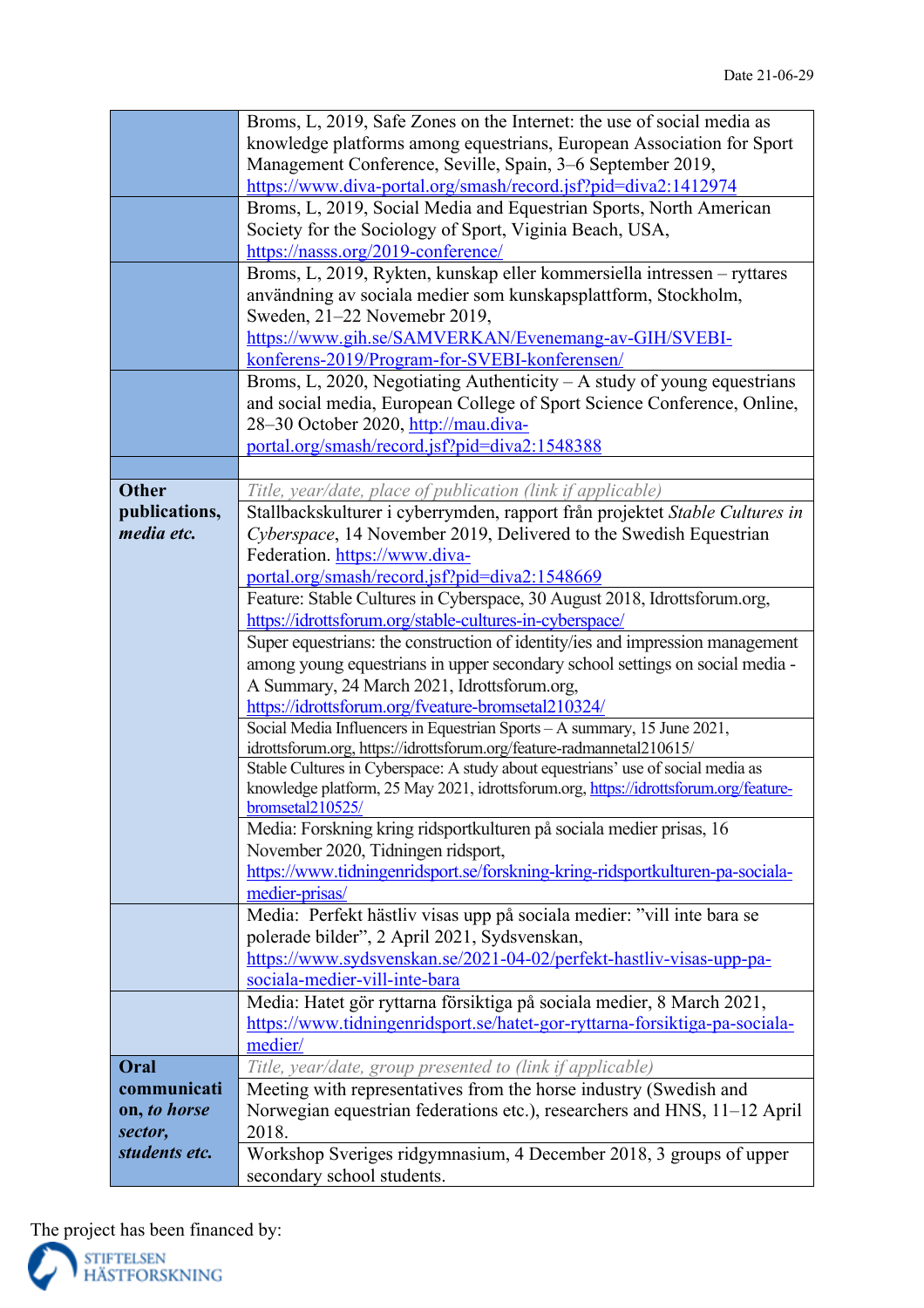|               | Broms, L, 2019, Safe Zones on the Internet: the use of social media as                   |
|---------------|------------------------------------------------------------------------------------------|
|               | knowledge platforms among equestrians, European Association for Sport                    |
|               | Management Conference, Seville, Spain, 3-6 September 2019,                               |
|               | https://www.diva-portal.org/smash/record.jsf?pid=diva2:1412974                           |
|               | Broms, L, 2019, Social Media and Equestrian Sports, North American                       |
|               | Society for the Sociology of Sport, Viginia Beach, USA,                                  |
|               | https://nasss.org/2019-conference/                                                       |
|               | Broms, L, 2019, Rykten, kunskap eller kommersiella intressen - ryttares                  |
|               | användning av sociala medier som kunskapsplattform, Stockholm,                           |
|               | Sweden, 21–22 Novemebr 2019,                                                             |
|               | https://www.gih.se/SAMVERKAN/Evenemang-av-GIH/SVEBI-                                     |
|               | konferens-2019/Program-for-SVEBI-konferensen/                                            |
|               | Broms, L, 2020, Negotiating Authenticity $-A$ study of young equestrians                 |
|               | and social media, European College of Sport Science Conference, Online,                  |
|               | 28-30 October 2020, http://mau.diva-                                                     |
|               | portal.org/smash/record.jsf?pid=diva2:1548388                                            |
|               |                                                                                          |
| <b>Other</b>  | Title, year/date, place of publication (link if applicable)                              |
| publications, | Stallbackskulturer i cyberrymden, rapport från projektet Stable Cultures in              |
| media etc.    | Cyberspace, 14 November 2019, Delivered to the Swedish Equestrian                        |
|               | Federation. https://www.diva-                                                            |
|               | portal.org/smash/record.jsf?pid=diva2:1548669                                            |
|               | Feature: Stable Cultures in Cyberspace, 30 August 2018, Idrottsforum.org,                |
|               | https://idrottsforum.org/stable-cultures-in-cyberspace/                                  |
|               | Super equestrians: the construction of identity/ies and impression management            |
|               | among young equestrians in upper secondary school settings on social media -             |
|               | A Summary, 24 March 2021, Idrottsforum.org,                                              |
|               | https://idrottsforum.org/fveature-bromsetal210324/                                       |
|               | Social Media Influencers in Equestrian Sports - A summary, 15 June 2021,                 |
|               | idrottsforum.org, https://idrottsforum.org/feature-radmannetal210615/                    |
|               | Stable Cultures in Cyberspace: A study about equestrians' use of social media as         |
|               | knowledge platform, 25 May 2021, idrottsforum.org, https://idrottsforum.org/feature-     |
|               | bromsetal210525/<br>Media: Forskning kring ridsportkulturen på sociala medier prisas, 16 |
|               | November 2020, Tidningen ridsport,                                                       |
|               | https://www.tidningenridsport.se/forskning-kring-ridsportkulturen-pa-sociala-            |
|               | medier-prisas/                                                                           |
|               | Media: Perfekt hästliv visas upp på sociala medier: "vill inte bara se                   |
|               | polerade bilder", 2 April 2021, Sydsvenskan,                                             |
|               | https://www.sydsvenskan.se/2021-04-02/perfekt-hastliv-visas-upp-pa-                      |
|               | sociala-medier-vill-inte-bara                                                            |
|               | Media: Hatet gör ryttarna försiktiga på sociala medier, 8 March 2021,                    |
|               | https://www.tidningenridsport.se/hatet-gor-ryttarna-forsiktiga-pa-sociala-               |
|               | medier/                                                                                  |
| Oral          | Title, year/date, group presented to (link if applicable)                                |
| communicati   | Meeting with representatives from the horse industry (Swedish and                        |
| on, to horse  | Norwegian equestrian federations etc.), researchers and HNS, 11-12 April                 |
| sector,       | 2018.                                                                                    |
| students etc. | Workshop Sveriges ridgymnasium, 4 December 2018, 3 groups of upper                       |
|               | secondary school students.                                                               |
|               |                                                                                          |